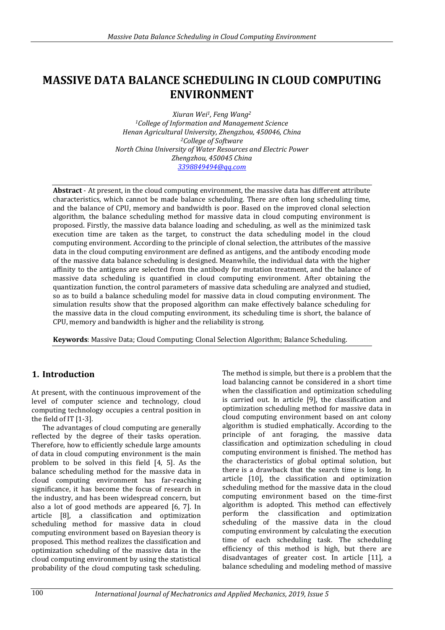# **MASSIVE DATA BALANCE SCHEDULING IN CLOUD COMPUTING ENVIRONMENT**

*Xiuran Wei1, Feng Wang<sup>2</sup> <sup>1</sup>College of Information and Management Science Henan Agricultural University, Zhengzhou, 450046, China <sup>2</sup>College of Software North China University of Water Resources and Electric Power Zhengzhou, 450045 China [3398849494@qq.com](mailto:3398849494@qq.com)*

**Abstract** - At present, in the cloud computing environment, the massive data has different attribute characteristics, which cannot be made balance scheduling. There are often long scheduling time, and the balance of CPU, memory and bandwidth is poor. Based on the improved clonal selection algorithm, the balance scheduling method for massive data in cloud computing environment is proposed. Firstly, the massive data balance loading and scheduling, as well as the minimized task execution time are taken as the target, to construct the data scheduling model in the cloud computing environment. According to the principle of clonal selection, the attributes of the massive data in the cloud computing environment are defined as antigens, and the antibody encoding mode of the massive data balance scheduling is designed. Meanwhile, the individual data with the higher affinity to the antigens are selected from the antibody for mutation treatment, and the balance of massive data scheduling is quantified in cloud computing environment. After obtaining the quantization function, the control parameters of massive data scheduling are analyzed and studied, so as to build a balance scheduling model for massive data in cloud computing environment. The simulation results show that the proposed algorithm can make effectively balance scheduling for the massive data in the cloud computing environment, its scheduling time is short, the balance of CPU, memory and bandwidth is higher and the reliability is strong.

**Keywords**: Massive Data; Cloud Computing; Clonal Selection Algorithm; Balance Scheduling.

# **1. Introduction**

At present, with the continuous improvement of the level of computer science and technology, cloud computing technology occupies a central position in the field of IT [1-3].

The advantages of cloud computing are generally reflected by the degree of their tasks operation. Therefore, how to efficiently schedule large amounts of data in cloud computing environment is the main problem to be solved in this field [4, 5]. As the balance scheduling method for the massive data in cloud computing environment has far-reaching significance, it has become the focus of research in the industry, and has been widespread concern, but also a lot of good methods are appeared [6, 7]. In article [8], a classification and optimization scheduling method for massive data in cloud computing environment based on Bayesian theory is proposed. This method realizes the classification and optimization scheduling of the massive data in the cloud computing environment by using the statistical probability of the cloud computing task scheduling.

The method is simple, but there is a problem that the load balancing cannot be considered in a short time when the classification and optimization scheduling is carried out. In article [9], the classification and optimization scheduling method for massive data in cloud computing environment based on ant colony algorithm is studied emphatically. According to the principle of ant foraging, the massive data classification and optimization scheduling in cloud computing environment is finished. The method has the characteristics of global optimal solution, but there is a drawback that the search time is long. In article [10], the classification and optimization scheduling method for the massive data in the cloud computing environment based on the time-first algorithm is adopted. This method can effectively perform the classification and optimization scheduling of the massive data in the cloud computing environment by calculating the execution time of each scheduling task. The scheduling efficiency of this method is high, but there are disadvantages of greater cost. In article [11], a balance scheduling and modeling method of massive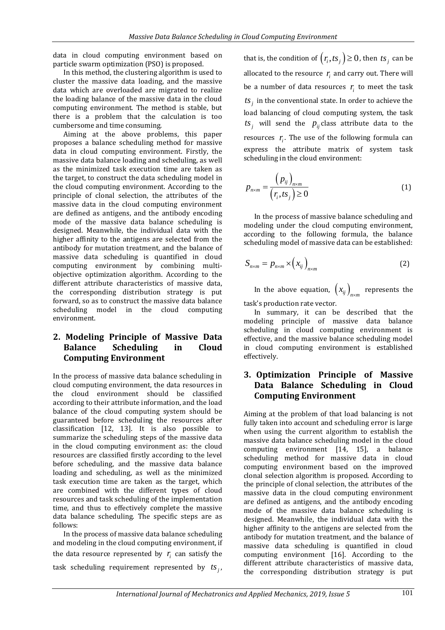data in cloud computing environment based on particle swarm optimization (PSO) is proposed.

In this method, the clustering algorithm is used to cluster the massive data loading, and the massive data which are overloaded are migrated to realize the loading balance of the massive data in the cloud computing environment. The method is stable, but there is a problem that the calculation is too cumbersome and time consuming.

Aiming at the above problems, this paper proposes a balance scheduling method for massive data in cloud computing environment. Firstly, the massive data balance loading and scheduling, as well as the minimized task execution time are taken as the target, to construct the data scheduling model in the cloud computing environment. According to the principle of clonal selection, the attributes of the massive data in the cloud computing environment are defined as antigens, and the antibody encoding mode of the massive data balance scheduling is designed. Meanwhile, the individual data with the higher affinity to the antigens are selected from the antibody for mutation treatment, and the balance of massive data scheduling is quantified in cloud computing environment by combining multiobjective optimization algorithm. According to the different attribute characteristics of massive data, the corresponding distribution strategy is put forward, so as to construct the massive data balance scheduling model in the cloud computing environment.

# **2. Modeling Principle of Massive Data Balance Scheduling in Cloud Computing Environment**

In the process of massive data balance scheduling in cloud computing environment, the data resources in the cloud environment should be classified according to their attribute information, and the load balance of the cloud computing system should be guaranteed before scheduling the resources after classification [12, 13]. It is also possible to summarize the scheduling steps of the massive data in the cloud computing environment as: the cloud resources are classified firstly according to the level before scheduling, and the massive data balance loading and scheduling, as well as the minimized task execution time are taken as the target, which are combined with the different types of cloud resources and task scheduling of the implementation time, and thus to effectively complete the massive data balance scheduling. The specific steps are as follows:

In the process of massive data balance scheduling and modeling in the cloud computing environment, if the data resource represented by  $r_i$  can satisfy the task scheduling requirement represented by  $ts_j$ ,

that is, the condition of  $(r_i, ts_j) \ge 0$ , then  $ts_j$  can be allocated to the resource  $r_i$  and carry out. There will be a number of data resources  $r_i$  to meet the task  $ts_j$  in the conventional state. In order to achieve the load balancing of cloud computing system, the task  $ts_j$  will send the  $p_{ij}$  class attribute data to the resources  $r_i$ . The use of the following formula can express the attribute matrix of system task scheduling in the cloud environment:

$$
p_{n \times m} = \frac{(p_{ij})_{n \times m}}{(r_i, ts_j) \ge 0}
$$
 (1)

In the process of massive balance scheduling and modeling under the cloud computing environment, according to the following formula, the balance scheduling model of massive data can be established:

$$
S_{n \times m} = p_{n \times m} \times (x_{ij})_{n \times m}
$$
 (2)

In the above equation,  $\left(x_{ij}\right)_{n\times m}$  represents the task's production rate vector.

In summary, it can be described that the modeling principle of massive data balance scheduling in cloud computing environment is effective, and the massive balance scheduling model in cloud computing environment is established effectively.

## **3. Optimization Principle of Massive Data Balance Scheduling in Cloud Computing Environment**

Aiming at the problem of that load balancing is not fully taken into account and scheduling error is large when using the current algorithm to establish the massive data balance scheduling model in the cloud computing environment [14, 15], a balance scheduling method for massive data in cloud computing environment based on the improved clonal selection algorithm is proposed. According to the principle of clonal selection, the attributes of the massive data in the cloud computing environment are defined as antigens, and the antibody encoding mode of the massive data balance scheduling is designed. Meanwhile, the individual data with the higher affinity to the antigens are selected from the antibody for mutation treatment, and the balance of massive data scheduling is quantified in cloud computing environment [16]. According to the different attribute characteristics of massive data, the corresponding distribution strategy is put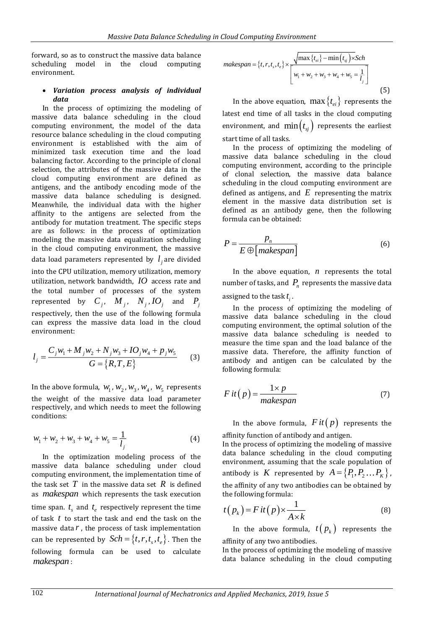forward, so as to construct the massive data balance scheduling model in the cloud computing environment.

#### *Variation process analysis of individual data*

In the process of optimizing the modeling of massive data balance scheduling in the cloud computing environment, the model of the data resource balance scheduling in the cloud computing environment is established with the aim of minimized task execution time and the load balancing factor. According to the principle of clonal selection, the attributes of the massive data in the cloud computing environment are defined as antigens, and the antibody encoding mode of the massive data balance scheduling is designed. Meanwhile, the individual data with the higher affinity to the antigens are selected from the antibody for mutation treatment. The specific steps are as follows: in the process of optimization modeling the massive data equalization scheduling in the cloud computing environment, the massive data load parameters represented by  $l_j$  are divided

into the CPU utilization, memory utilization, memory utilization, network bandwidth, *IO* access rate and the total number of processes of the system represented by  $C_j$ ,  $M_j$ ,  $N_j$ ,  $IO_j$  and  $P_j$ respectively, then the use of the following formula can express the massive data load in the cloud environment:

$$
l_j = \frac{C_j w_1 + M_j w_2 + N_j w_3 + IO_j w_4 + P_j w_5}{G = \{R, T, E\}}
$$
 (3)

In the above formula,  $w_1$ ,  $w_2$ ,  $w_3$ ,  $w_4$ ,  $w_5$  represents the weight of the massive data load parameter respectively, and which needs to meet the following conditions:

$$
w_1 + w_2 + w_3 + w_4 + w_5 = \frac{1}{l_j}
$$
 (4)

In the optimization modeling process of the massive data balance scheduling under cloud computing environment, the implementation time of the task set  $T$  in the massive data set  $R$  is defined as *makespan* which represents the task execution time span.  $t_s$  and  $t_e$  respectively represent the time of task *t* to start the task and end the task on the massive data *r* , the process of task implementation can be represented by  $Sch = \{t, r, t_s, t_e\}$ . Then the following formula can be used to calculate *makespan* :

$$
makespan = \{t, r, t_s, t_e\} \times \frac{\sqrt{\max \{t_{ei}\} - \min (t_{sj}) \times Sch}}{\left[w_1 + w_2 + w_3 + w_4 + w_5 = \frac{1}{l_j}\right]}
$$
\n(5)

In the above equation,  $\max\left\{t_{ei}\right\}$  represents the latest end time of all tasks in the cloud computing environment, and  $\min(t_{\textit{si}})$  represents the earliest start time of all tasks.

In the process of optimizing the modeling of massive data balance scheduling in the cloud computing environment, according to the principle of clonal selection, the massive data balance scheduling in the cloud computing environment are defined as antigens, and *E* representing the matrix element in the massive data distribution set is defined as an antibody gene, then the following formula can be obtained:

$$
P = \frac{p_n}{E \oplus [makespan]}
$$
 (6)

In the above equation,  $n$  represents the total number of tasks, and  $P_n$  represents the massive data assigned to the task  $t_i$ .

In the process of optimizing the modeling of massive data balance scheduling in the cloud computing environment, the optimal solution of the massive data balance scheduling is needed to measure the time span and the load balance of the massive data. Therefore, the affinity function of antibody and antigen can be calculated by the following formula:

$$
Fit(p) = \frac{1 \times p}{makespan}
$$
 (7)

In the above formula,  $Fit(p)$  represents the affinity function of antibody and antigen.

In the process of optimizing the modeling of massive data balance scheduling in the cloud computing environment, assuming that the scale population of antibody is  $K$  represented by  $A = \{P_1, P_2...P_K\}$ , the affinity of any two antibodies can be obtained by the following formula:

$$
t(p_k) = Fit(p) \times \frac{1}{A \times k}
$$
 (8)

In the above formula,  $t(p_k)$  represents the affinity of any two antibodies.

In the process of optimizing the modeling of massive data balance scheduling in the cloud computing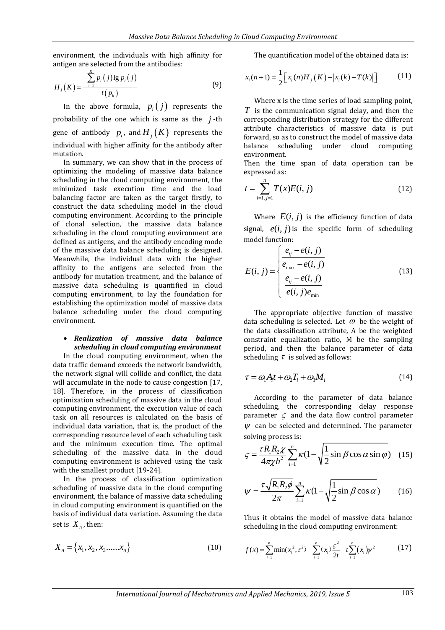environment, the individuals with high affinity for antigen are selected from the antibodies:

*K*

$$
H_j(K) = \frac{-\sum_{i=1}^{\infty} p_i(j) \lg p_i(j)}{t(p_k)}
$$
(9)

In the above formula,  $p_i(j)$  represents the probability of the one which is same as the  $j$ -th gene of antibody  $p_i$ , and  $H_j(K)$  represents the individual with higher affinity for the antibody after mutation.

In summary, we can show that in the process of optimizing the modeling of massive data balance scheduling in the cloud computing environment, the minimized task execution time and the load balancing factor are taken as the target firstly, to construct the data scheduling model in the cloud computing environment. According to the principle of clonal selection, the massive data balance scheduling in the cloud computing environment are defined as antigens, and the antibody encoding mode of the massive data balance scheduling is designed. Meanwhile, the individual data with the higher affinity to the antigens are selected from the antibody for mutation treatment, and the balance of massive data scheduling is quantified in cloud computing environment, to lay the foundation for establishing the optimization model of massive data balance scheduling under the cloud computing environment.

#### *Realization of massive data balance scheduling in cloud computing environment*

In the cloud computing environment, when the data traffic demand exceeds the network bandwidth, the network signal will collide and conflict, the data will accumulate in the node to cause congestion [17, 18]. Therefore, in the process of classification optimization scheduling of massive data in the cloud computing environment, the execution value of each task on all resources is calculated on the basis of individual data variation, that is, the product of the corresponding resource level of each scheduling task and the minimum execution time. The optimal scheduling of the massive data in the cloud computing environment is achieved using the task with the smallest product [19-24].

In the process of classification optimization scheduling of massive data in the cloud computing environment, the balance of massive data scheduling in cloud computing environment is quantified on the basis of individual data variation. Assuming the data set is  $X_n$ , then:

$$
X_n = \{x_1, x_2, x_3, \dots, x_n\}
$$
 (10)

The quantification model of the obtained data is:

$$
x_i(n+1) = \frac{1}{2} \Big[ x_i(n) H_j(K) - |x_i(k) - T(k)| \Big] \tag{11}
$$

Where x is the time series of load sampling point, *T* is the communication signal delay, and then the corresponding distribution strategy for the different attribute characteristics of massive data is put forward, so as to construct the model of massive data balance scheduling under cloud computing environment.

Then the time span of data operation can be expressed as:

$$
t = \sum_{i=1, j=1}^{n} T(x)E(i, j)
$$
 (12)

Where  $E(i, j)$  is the efficiency function of data signal,  $e(i, j)$  is the specific form of scheduling model function:

$$
E(i, j) = \begin{cases} \frac{e_{ij} - e(i, j)}{e_{\text{max}} - e(i, j)} \\ \frac{e_{ij} - e(i, j)}{e(i, j)e_{\text{min}}} \end{cases}
$$
(13)

The appropriate objective function of massive data scheduling is selected. Let  $\omega$  be the weight of the data classification attribute, A be the weighted constraint equalization ratio, M be the sampling period, and then the balance parameter of data scheduling  $\tau$  is solved as follows:

$$
\tau = \omega_1 A_i t + \omega_2 T_i + \omega_3 M_i \tag{14}
$$

According to the parameter of data balance scheduling, the corresponding delay response parameter  $\zeta$  and the data flow control parameter  $\psi$  can be selected and determined. The parameter solving process is:

$$
\varsigma = \frac{\tau R_1 R_2 \chi}{4\pi \chi h^2} \sum_{i=1}^n \kappa (1 - \sqrt{\frac{1}{2} \sin \beta \cos \alpha \sin \varphi}) \quad (15)
$$

$$
\psi = \frac{\tau \sqrt{R_1 R_2 \phi}}{2\pi} \sum_{i=1}^{n} \kappa (1 - \sqrt{\frac{1}{2} \sin \beta \cos \alpha})
$$
(16)

Thus it obtains the model of massive data balance scheduling in the cloud computing environment:

$$
f(x) = \sum_{i=1}^{n} \min(x_i^2, \tau^2) - \sum_{i=1}^{n} (x_i) \frac{\zeta^2}{2t} - t \sum_{i=1}^{n} (x_i) \psi^2
$$
 (17)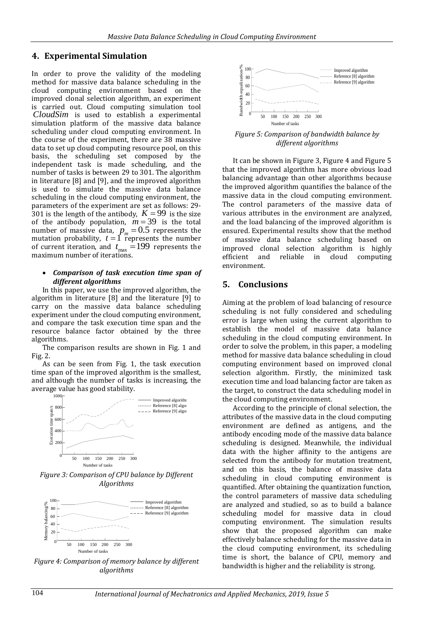### **4. Experimental Simulation**

In order to prove the validity of the modeling method for massive data balance scheduling in the cloud computing environment based on the improved clonal selection algorithm, an experiment is carried out. Cloud computing simulation tool *CloudSim* is used to establish a experimental simulation platform of the massive data balance scheduling under cloud computing environment. In the course of the experiment, there are 38 massive data to set up cloud computing resource pool, on this basis, the scheduling set composed by the independent task is made scheduling, and the number of tasks is between 29 to 301. The algorithm in literature [8] and [9], and the improved algorithm is used to simulate the massive data balance scheduling in the cloud computing environment, the parameters of the experiment are set as follows: 29- 301 is the length of the antibody,  $K = 99$  is the size of the antibody population,  $m = 39$  is the total number of massive data,  $p_m^{}$  = 0.5 represents the mutation probability,  $t = \int \overline{r}$  epresents the number of current iteration, and  $t_{\text{max}} = 199$  represents the maximum number of iterations.

#### *Comparison of task execution time span of different algorithms*

In this paper, we use the improved algorithm, the algorithm in literature [8] and the literature [9] to carry on the massive data balance scheduling experiment under the cloud computing environment, and compare the task execution time span and the resource balance factor obtained by the three algorithms.

The comparison results are shown in Fig. 1 and Fig. 2.

As can be seen from Fig. 1, the task execution time span of the improved algorithm is the smallest, and although the number of tasks is increasing, the average value has good stability.



*Figure 3: Comparison of CPU balance by Different Algorithms*



*Figure 4: Comparison of memory balance by different algorithms*



*Figure 5: Comparison of bandwidth balance by different algorithms*

It can be shown in Figure 3, Figure 4 and Figure 5 that the improved algorithm has more obvious load balancing advantage than other algorithms because the improved algorithm quantifies the balance of the massive data in the cloud computing environment. The control parameters of the massive data of various attributes in the environment are analyzed, and the load balancing of the improved algorithm is ensured. Experimental results show that the method of massive data balance scheduling based on improved clonal selection algorithm is highly efficient and reliable in cloud computing environment.

#### **5. Conclusions**

Aiming at the problem of load balancing of resource scheduling is not fully considered and scheduling error is large when using the current algorithm to establish the model of massive data balance scheduling in the cloud computing environment. In order to solve the problem, in this paper, a modeling method for massive data balance scheduling in cloud computing environment based on improved clonal selection algorithm. Firstly, the minimized task execution time and load balancing factor are taken as the target, to construct the data scheduling model in the cloud computing environment.

According to the principle of clonal selection, the attributes of the massive data in the cloud computing environment are defined as antigens, and the antibody encoding mode of the massive data balance scheduling is designed. Meanwhile, the individual data with the higher affinity to the antigens are selected from the antibody for mutation treatment, and on this basis, the balance of massive data scheduling in cloud computing environment is quantified. After obtaining the quantization function, the control parameters of massive data scheduling are analyzed and studied, so as to build a balance scheduling model for massive data in cloud computing environment. The simulation results show that the proposed algorithm can make effectively balance scheduling for the massive data in the cloud computing environment, its scheduling time is short, the balance of CPU, memory and bandwidth is higher and the reliability is strong.